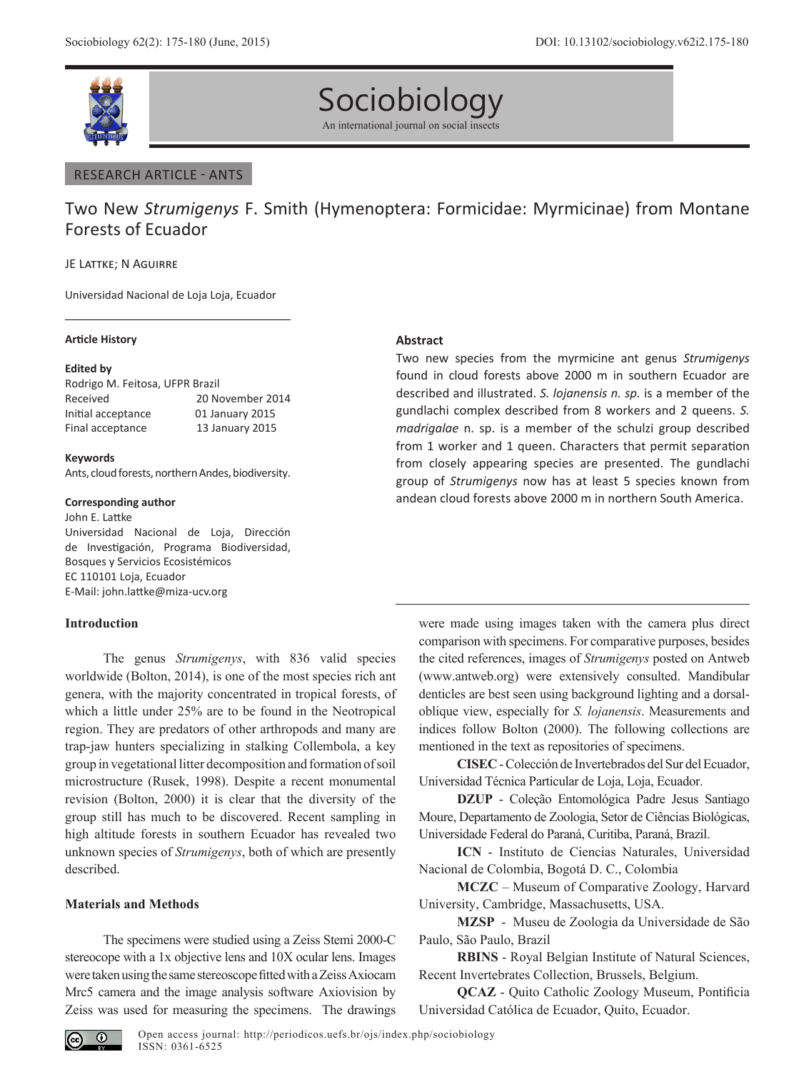

Sociobiology An international journal on social insects

# RESEARCH ARTICLE - ANTS

Two New *Strumigenys* F. Smith (Hymenoptera: Formicidae: Myrmicinae) from Montane Forests of Ecuador

# JE LATTKE; N AGUIRRE

Universidad Nacional de Loja Loja, Ecuador

# **Article History**

## **Edited by**

| Rodrigo M. Feitosa, UFPR Brazil |                  |
|---------------------------------|------------------|
| Received                        | 20 November 2014 |
| Initial acceptance              | 01 January 2015  |
| Final acceptance                | 13 January 2015  |
|                                 |                  |

## **Keywords**

Ants, cloud forests, northern Andes, biodiversity.

## **Corresponding author**

John E. Lattke Universidad Nacional de Loja, Dirección de Investigación, Programa Biodiversidad, Bosques y Servicios Ecosistémicos EC 110101 Loja, Ecuador E-Mail: john.lattke@miza-ucv.org

# **Introduction**

The genus *Strumigenys*, with 836 valid species worldwide (Bolton, 2014), is one of the most species rich ant genera, with the majority concentrated in tropical forests, of which a little under 25% are to be found in the Neotropical region. They are predators of other arthropods and many are trap-jaw hunters specializing in stalking Collembola, a key group in vegetational litter decomposition and formation of soil microstructure (Rusek, 1998). Despite a recent monumental revision (Bolton, 2000) it is clear that the diversity of the group still has much to be discovered. Recent sampling in high altitude forests in southern Ecuador has revealed two unknown species of *Strumigenys*, both of which are presently described.

# **Materials and Methods**

The specimens were studied using a Zeiss Stemi 2000-C stereocope with a 1x objective lens and 10X ocular lens. Images were taken using the same stereoscope fitted with a Zeiss Axiocam Mrc5 camera and the image analysis software Axiovision by Zeiss was used for measuring the specimens. The drawings

# **Abstract**

Two new species from the myrmicine ant genus *Strumigenys* found in cloud forests above 2000 m in southern Ecuador are described and illustrated. *S. lojanensis n. sp.* is a member of the gundlachi complex described from 8 workers and 2 queens. *S. madrigalae* n. sp. is a member of the schulzi group described from 1 worker and 1 queen. Characters that permit separation from closely appearing species are presented. The gundlachi group of *Strumigenys* now has at least 5 species known from andean cloud forests above 2000 m in northern South America.

were made using images taken with the camera plus direct comparison with specimens. For comparative purposes, besides the cited references, images of *Strumigenys* posted on Antweb (www.antweb.org) were extensively consulted. Mandibular denticles are best seen using background lighting and a dorsaloblique view, especially for *S. lojanensis*. Measurements and indices follow Bolton (2000). The following collections are mentioned in the text as repositories of specimens.

**CISEC** - Colección de Invertebrados del Sur del Ecuador, Universidad Técnica Particular de Loja, Loja, Ecuador.

**DZUP** - Coleção Entomológica Padre Jesus Santiago Moure, Departamento de Zoologia, Setor de Ciências Biológicas, Universidade Federal do Paraná, Curitiba, Paraná, Brazil.

**ICN** - Instituto de Ciencias Naturales, Universidad Nacional de Colombia, Bogotá D. C., Colombia

**MCZC** – Museum of Comparative Zoology, Harvard University, Cambridge, Massachusetts, USA.

**MZSP** - Museu de Zoologia da Universidade de São Paulo, São Paulo, Brazil

**RBINS** - Royal Belgian Institute of Natural Sciences, Recent Invertebrates Collection, Brussels, Belgium.

**QCAZ** - Quito Catholic Zoology Museum, Pontificia Universidad Católica de Ecuador, Quito, Ecuador.

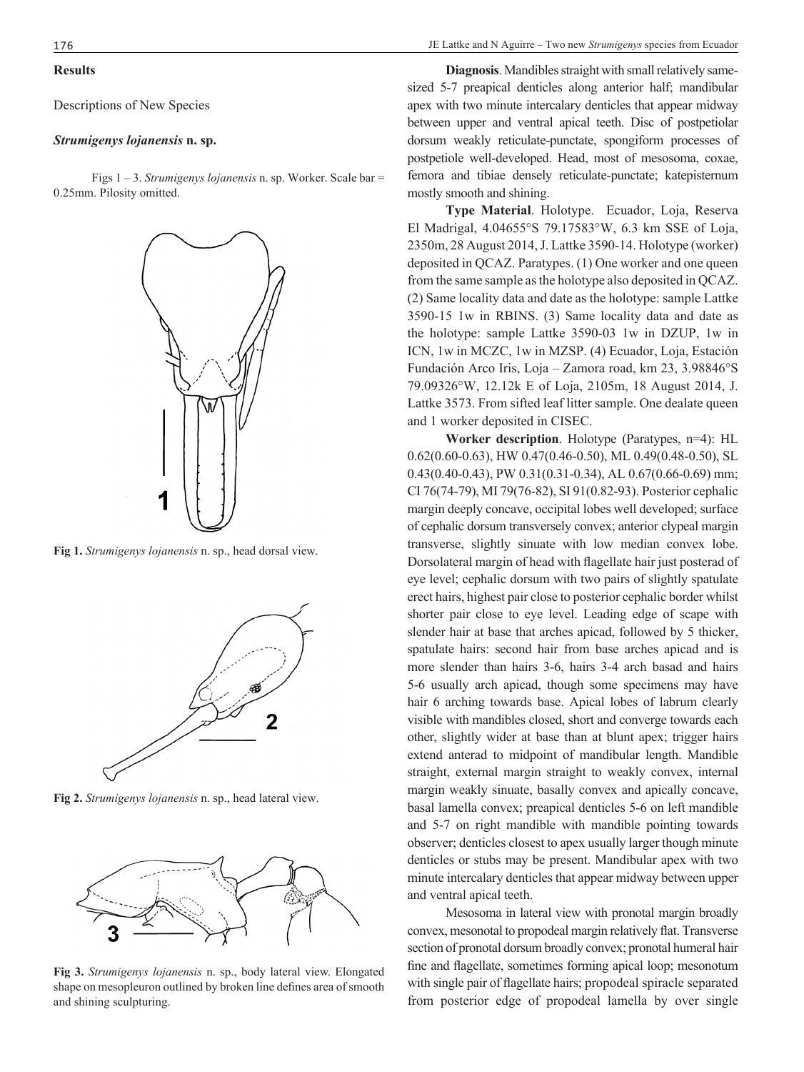## **Results**

Descriptions of New Species

#### *Strumigenys lojanensis* **n. sp.**

Figs 1 – 3. *Strumigenys lojanensis* n. sp. Worker. Scale bar = 0.25mm. Pilosity omitted.



**Fig 1.** *Strumigenys lojanensis* n. sp., head dorsal view.



**Fig 2.** *Strumigenys lojanensis* n. sp., head lateral view.



**Fig 3.** *Strumigenys lojanensis* n. sp., body lateral view. Elongated shape on mesopleuron outlined by broken line defines area of smooth and shining sculpturing.

**Diagnosis**. Mandibles straight with small relatively samesized 5-7 preapical denticles along anterior half; mandibular apex with two minute intercalary denticles that appear midway between upper and ventral apical teeth. Disc of postpetiolar dorsum weakly reticulate-punctate, spongiform processes of postpetiole well-developed. Head, most of mesosoma, coxae, femora and tibiae densely reticulate-punctate; katepisternum mostly smooth and shining.

**Type Material**. Holotype. Ecuador, Loja, Reserva El Madrigal, 4.04655°S 79.17583°W, 6.3 km SSE of Loja, 2350m, 28 August 2014, J. Lattke 3590-14. Holotype (worker) deposited in QCAZ. Paratypes. (1) One worker and one queen from the same sample as the holotype also deposited in QCAZ. (2) Same locality data and date as the holotype: sample Lattke 3590-15 1w in RBINS. (3) Same locality data and date as the holotype: sample Lattke 3590-03 1w in DZUP, 1w in ICN, 1w in MCZC, 1w in MZSP. (4) Ecuador, Loja, Estación Fundación Arco Iris, Loja – Zamora road, km 23, 3.98846°S 79.09326°W, 12.12k E of Loja, 2105m, 18 August 2014, J. Lattke 3573. From sifted leaf litter sample. One dealate queen and 1 worker deposited in CISEC.

**Worker description**. Holotype (Paratypes, n=4): HL 0.62(0.60-0.63), HW 0.47(0.46-0.50), ML 0.49(0.48-0.50), SL 0.43(0.40-0.43), PW 0.31(0.31-0.34), AL 0.67(0.66-0.69) mm; CI 76(74-79), MI 79(76-82), SI 91(0.82-93). Posterior cephalic margin deeply concave, occipital lobes well developed; surface of cephalic dorsum transversely convex; anterior clypeal margin transverse, slightly sinuate with low median convex lobe. Dorsolateral margin of head with flagellate hair just posterad of eye level; cephalic dorsum with two pairs of slightly spatulate erect hairs, highest pair close to posterior cephalic border whilst shorter pair close to eye level. Leading edge of scape with slender hair at base that arches apicad, followed by 5 thicker, spatulate hairs: second hair from base arches apicad and is more slender than hairs 3-6, hairs 3-4 arch basad and hairs 5-6 usually arch apicad, though some specimens may have hair 6 arching towards base. Apical lobes of labrum clearly visible with mandibles closed, short and converge towards each other, slightly wider at base than at blunt apex; trigger hairs extend anterad to midpoint of mandibular length. Mandible straight, external margin straight to weakly convex, internal margin weakly sinuate, basally convex and apically concave, basal lamella convex; preapical denticles 5-6 on left mandible and 5-7 on right mandible with mandible pointing towards observer; denticles closest to apex usually larger though minute denticles or stubs may be present. Mandibular apex with two minute intercalary denticles that appear midway between upper and ventral apical teeth.

Mesosoma in lateral view with pronotal margin broadly convex, mesonotal to propodeal margin relatively flat. Transverse section of pronotal dorsum broadly convex; pronotal humeral hair fine and flagellate, sometimes forming apical loop; mesonotum with single pair of flagellate hairs; propodeal spiracle separated from posterior edge of propodeal lamella by over single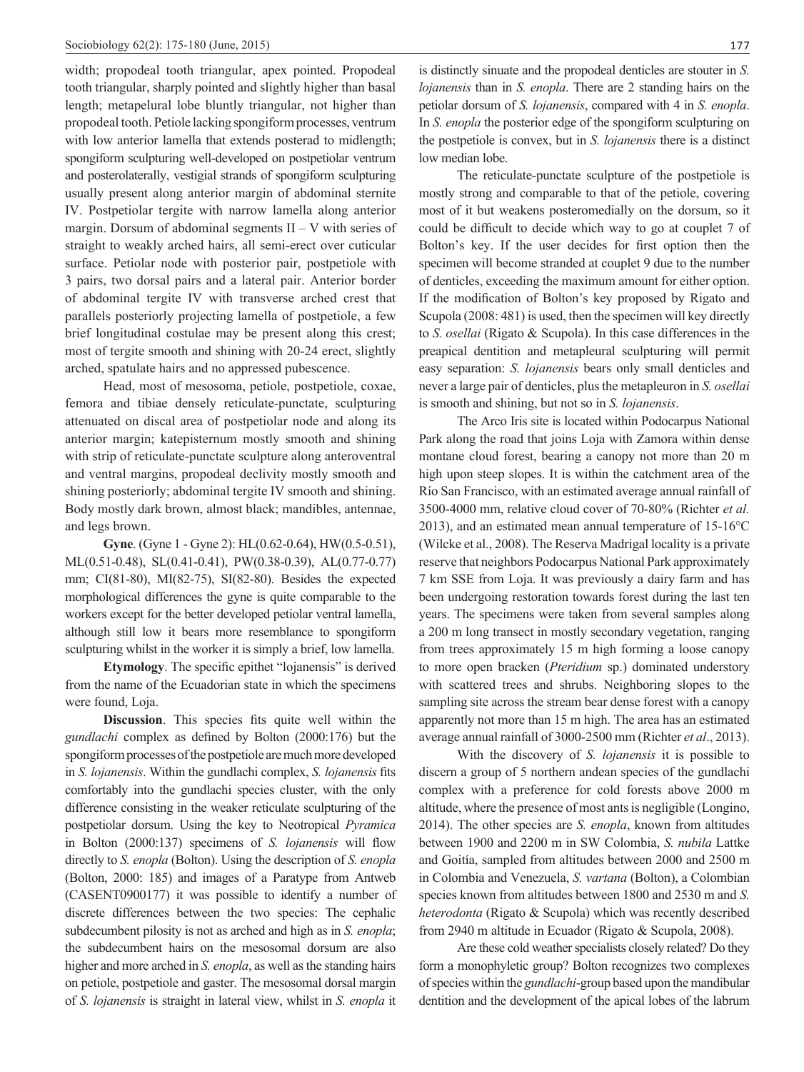width; propodeal tooth triangular, apex pointed. Propodeal tooth triangular, sharply pointed and slightly higher than basal length; metapelural lobe bluntly triangular, not higher than propodeal tooth. Petiole lacking spongiform processes, ventrum with low anterior lamella that extends posterad to midlength; spongiform sculpturing well-developed on postpetiolar ventrum and posterolaterally, vestigial strands of spongiform sculpturing usually present along anterior margin of abdominal sternite IV. Postpetiolar tergite with narrow lamella along anterior margin. Dorsum of abdominal segments  $II - V$  with series of straight to weakly arched hairs, all semi-erect over cuticular surface. Petiolar node with posterior pair, postpetiole with 3 pairs, two dorsal pairs and a lateral pair. Anterior border of abdominal tergite IV with transverse arched crest that parallels posteriorly projecting lamella of postpetiole, a few brief longitudinal costulae may be present along this crest; most of tergite smooth and shining with 20-24 erect, slightly arched, spatulate hairs and no appressed pubescence.

Head, most of mesosoma, petiole, postpetiole, coxae, femora and tibiae densely reticulate-punctate, sculpturing attenuated on discal area of postpetiolar node and along its anterior margin; katepisternum mostly smooth and shining with strip of reticulate-punctate sculpture along anteroventral and ventral margins, propodeal declivity mostly smooth and shining posteriorly; abdominal tergite IV smooth and shining. Body mostly dark brown, almost black; mandibles, antennae, and legs brown.

**Gyne**. (Gyne 1 - Gyne 2): HL(0.62-0.64), HW(0.5-0.51), ML(0.51-0.48), SL(0.41-0.41), PW(0.38-0.39), AL(0.77-0.77) mm; CI(81-80), MI(82-75), SI(82-80). Besides the expected morphological differences the gyne is quite comparable to the workers except for the better developed petiolar ventral lamella, although still low it bears more resemblance to spongiform sculpturing whilst in the worker it is simply a brief, low lamella.

**Etymology**. The specific epithet "lojanensis" is derived from the name of the Ecuadorian state in which the specimens were found, Loja.

**Discussion**. This species fits quite well within the *gundlachi* complex as defined by Bolton (2000:176) but the spongiform processes of the postpetiole are much more developed in *S. lojanensis*. Within the gundlachi complex, *S. lojanensis* fits comfortably into the gundlachi species cluster, with the only difference consisting in the weaker reticulate sculpturing of the postpetiolar dorsum. Using the key to Neotropical *Pyramica* in Bolton (2000:137) specimens of *S. lojanensis* will flow directly to *S. enopla* (Bolton). Using the description of *S. enopla* (Bolton, 2000: 185) and images of a Paratype from Antweb (CASENT0900177) it was possible to identify a number of discrete differences between the two species: The cephalic subdecumbent pilosity is not as arched and high as in *S. enopla*; the subdecumbent hairs on the mesosomal dorsum are also higher and more arched in *S. enopla*, as well as the standing hairs on petiole, postpetiole and gaster. The mesosomal dorsal margin of *S. lojanensis* is straight in lateral view, whilst in *S. enopla* it

is distinctly sinuate and the propodeal denticles are stouter in *S. lojanensis* than in *S. enopla*. There are 2 standing hairs on the petiolar dorsum of *S. lojanensis*, compared with 4 in *S. enopla*. In *S. enopla* the posterior edge of the spongiform sculpturing on the postpetiole is convex, but in *S. lojanensis* there is a distinct low median lobe.

The reticulate-punctate sculpture of the postpetiole is mostly strong and comparable to that of the petiole, covering most of it but weakens posteromedially on the dorsum, so it could be difficult to decide which way to go at couplet 7 of Bolton's key. If the user decides for first option then the specimen will become stranded at couplet 9 due to the number of denticles, exceeding the maximum amount for either option. If the modification of Bolton's key proposed by Rigato and Scupola (2008: 481) is used, then the specimen will key directly to *S. osellai* (Rigato & Scupola). In this case differences in the preapical dentition and metapleural sculpturing will permit easy separation: *S. lojanensis* bears only small denticles and never a large pair of denticles, plus the metapleuron in *S. osellai* is smooth and shining, but not so in *S. lojanensis*.

The Arco Iris site is located within Podocarpus National Park along the road that joins Loja with Zamora within dense montane cloud forest, bearing a canopy not more than 20 m high upon steep slopes. It is within the catchment area of the Río San Francisco, with an estimated average annual rainfall of 3500-4000 mm, relative cloud cover of 70-80% (Richter *et al.* 2013), and an estimated mean annual temperature of 15-16°C (Wilcke et al., 2008). The Reserva Madrigal locality is a private reserve that neighbors Podocarpus National Park approximately 7 km SSE from Loja. It was previously a dairy farm and has been undergoing restoration towards forest during the last ten years. The specimens were taken from several samples along a 200 m long transect in mostly secondary vegetation, ranging from trees approximately 15 m high forming a loose canopy to more open bracken (*Pteridium* sp.) dominated understory with scattered trees and shrubs. Neighboring slopes to the sampling site across the stream bear dense forest with a canopy apparently not more than 15 m high. The area has an estimated average annual rainfall of 3000-2500 mm (Richter *et al*., 2013).

With the discovery of *S. lojanensis* it is possible to discern a group of 5 northern andean species of the gundlachi complex with a preference for cold forests above 2000 m altitude, where the presence of most ants is negligible (Longino, 2014). The other species are *S. enopla*, known from altitudes between 1900 and 2200 m in SW Colombia, *S. nubila* Lattke and Goitía, sampled from altitudes between 2000 and 2500 m in Colombia and Venezuela, *S. vartana* (Bolton), a Colombian species known from altitudes between 1800 and 2530 m and *S. heterodonta* (Rigato & Scupola) which was recently described from 2940 m altitude in Ecuador (Rigato & Scupola, 2008).

Are these cold weather specialists closely related? Do they form a monophyletic group? Bolton recognizes two complexes of species within the *gundlachi*-group based upon the mandibular dentition and the development of the apical lobes of the labrum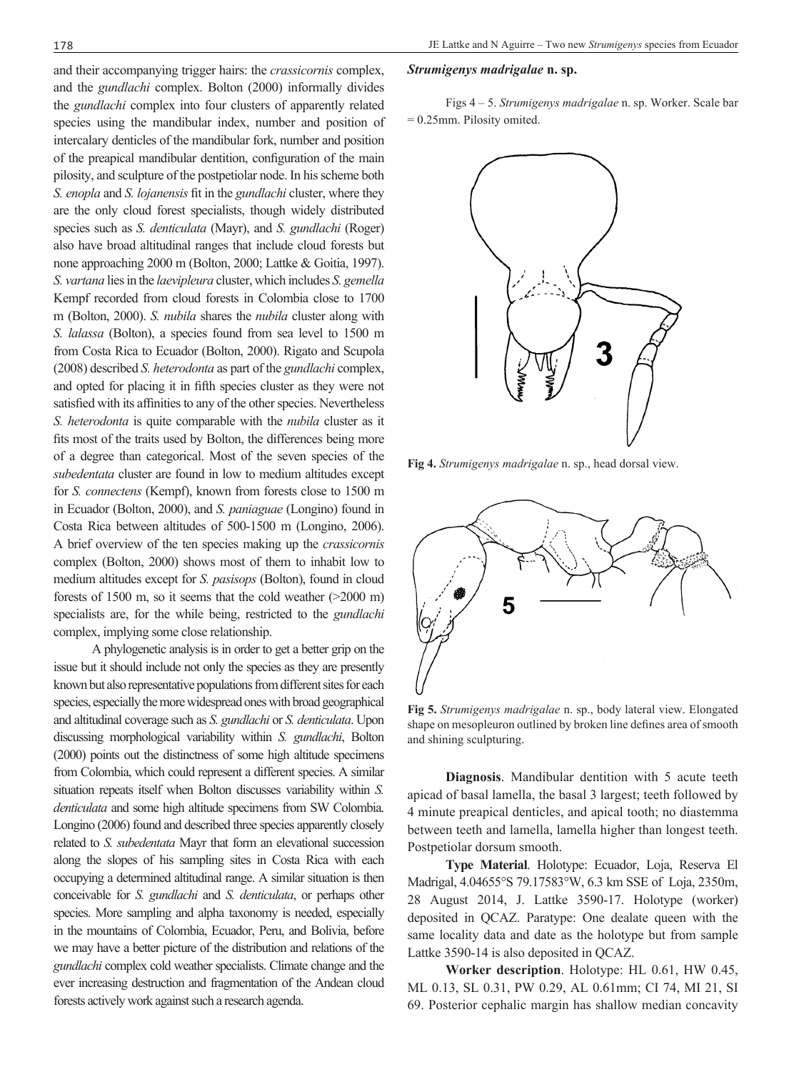and their accompanying trigger hairs: the *crassicornis* complex, and the *gundlachi* complex. Bolton (2000) informally divides the *gundlachi* complex into four clusters of apparently related species using the mandibular index, number and position of intercalary denticles of the mandibular fork, number and position of the preapical mandibular dentition, configuration of the main pilosity, and sculpture of the postpetiolar node. In his scheme both *S. enopla* and *S. lojanensis* fit in the *gundlachi* cluster, where they are the only cloud forest specialists, though widely distributed species such as *S. denticulata* (Mayr), and *S. gundlachi* (Roger) also have broad altitudinal ranges that include cloud forests but none approaching 2000 m (Bolton, 2000; Lattke & Goitia, 1997). *S. vartana* lies in the *laevipleura* cluster, which includes *S. gemella* Kempf recorded from cloud forests in Colombia close to 1700 m (Bolton, 2000). *S. nubila* shares the *nubila* cluster along with *S. lalassa* (Bolton), a species found from sea level to 1500 m from Costa Rica to Ecuador (Bolton, 2000). Rigato and Scupola (2008) described *S. heterodonta* as part of the *gundlachi* complex, and opted for placing it in fifth species cluster as they were not satisfied with its affinities to any of the other species. Nevertheless *S. heterodonta* is quite comparable with the *nubila* cluster as it fits most of the traits used by Bolton, the differences being more of a degree than categorical. Most of the seven species of the *subedentata* cluster are found in low to medium altitudes except for *S. connectens* (Kempf), known from forests close to 1500 m in Ecuador (Bolton, 2000), and *S. paniaguae* (Longino) found in Costa Rica between altitudes of 500-1500 m (Longino, 2006). A brief overview of the ten species making up the *crassicornis* complex (Bolton, 2000) shows most of them to inhabit low to medium altitudes except for *S. pasisops* (Bolton), found in cloud forests of 1500 m, so it seems that the cold weather (>2000 m) specialists are, for the while being, restricted to the *gundlachi* complex, implying some close relationship.

A phylogenetic analysis is in order to get a better grip on the issue but it should include not only the species as they are presently known but also representative populations from different sites for each species, especially the more widespread ones with broad geographical and altitudinal coverage such as *S. gundlachi* or *S. denticulata*. Upon discussing morphological variability within *S. gundlachi*, Bolton (2000) points out the distinctness of some high altitude specimens from Colombia, which could represent a different species. A similar situation repeats itself when Bolton discusses variability within *S. denticulata* and some high altitude specimens from SW Colombia. Longino (2006) found and described three species apparently closely related to *S. subedentata* Mayr that form an elevational succession along the slopes of his sampling sites in Costa Rica with each occupying a determined altitudinal range. A similar situation is then conceivable for *S. gundlachi* and *S. denticulata*, or perhaps other species. More sampling and alpha taxonomy is needed, especially in the mountains of Colombia, Ecuador, Peru, and Bolivia, before we may have a better picture of the distribution and relations of the *gundlachi* complex cold weather specialists. Climate change and the ever increasing destruction and fragmentation of the Andean cloud forests actively work against such a research agenda.

#### *Strumigenys madrigalae* **n. sp.**

Figs 4 – 5. *Strumigenys madrigalae* n. sp. Worker. Scale bar = 0.25mm. Pilosity omited.



**Fig 4.** *Strumigenys madrigalae* n. sp., head dorsal view.



**Fig 5.** *Strumigenys madrigalae* n. sp., body lateral view. Elongated shape on mesopleuron outlined by broken line defines area of smooth and shining sculpturing.

**Diagnosis**. Mandibular dentition with 5 acute teeth apicad of basal lamella, the basal 3 largest; teeth followed by 4 minute preapical denticles, and apical tooth; no diastemma between teeth and lamella, lamella higher than longest teeth. Postpetiolar dorsum smooth.

**Type Material**. Holotype: Ecuador, Loja, Reserva El Madrigal, 4.04655°S 79.17583°W, 6.3 km SSE of Loja, 2350m, 28 August 2014, J. Lattke 3590-17. Holotype (worker) deposited in QCAZ. Paratype: One dealate queen with the same locality data and date as the holotype but from sample Lattke 3590-14 is also deposited in QCAZ.

**Worker description**. Holotype: HL 0.61, HW 0.45, ML 0.13, SL 0.31, PW 0.29, AL 0.61mm; CI 74, MI 21, SI 69. Posterior cephalic margin has shallow median concavity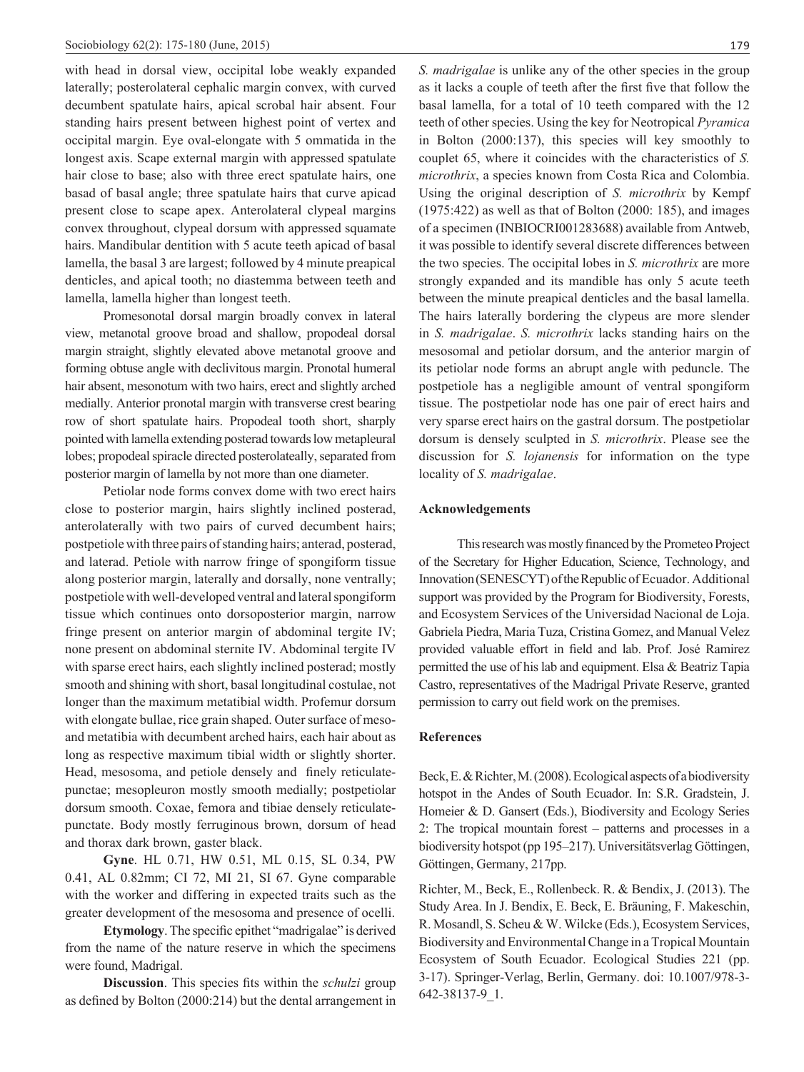with head in dorsal view, occipital lobe weakly expanded laterally; posterolateral cephalic margin convex, with curved decumbent spatulate hairs, apical scrobal hair absent. Four standing hairs present between highest point of vertex and occipital margin. Eye oval-elongate with 5 ommatida in the longest axis. Scape external margin with appressed spatulate hair close to base; also with three erect spatulate hairs, one basad of basal angle; three spatulate hairs that curve apicad present close to scape apex. Anterolateral clypeal margins convex throughout, clypeal dorsum with appressed squamate hairs. Mandibular dentition with 5 acute teeth apicad of basal lamella, the basal 3 are largest; followed by 4 minute preapical denticles, and apical tooth; no diastemma between teeth and lamella, lamella higher than longest teeth.

Promesonotal dorsal margin broadly convex in lateral view, metanotal groove broad and shallow, propodeal dorsal margin straight, slightly elevated above metanotal groove and forming obtuse angle with declivitous margin. Pronotal humeral hair absent, mesonotum with two hairs, erect and slightly arched medially. Anterior pronotal margin with transverse crest bearing row of short spatulate hairs. Propodeal tooth short, sharply pointed with lamella extending posterad towards low metapleural lobes; propodeal spiracle directed posterolateally, separated from posterior margin of lamella by not more than one diameter.

Petiolar node forms convex dome with two erect hairs close to posterior margin, hairs slightly inclined posterad, anterolaterally with two pairs of curved decumbent hairs; postpetiole with three pairs of standing hairs; anterad, posterad, and laterad. Petiole with narrow fringe of spongiform tissue along posterior margin, laterally and dorsally, none ventrally; postpetiole with well-developed ventral and lateral spongiform tissue which continues onto dorsoposterior margin, narrow fringe present on anterior margin of abdominal tergite IV; none present on abdominal sternite IV. Abdominal tergite IV with sparse erect hairs, each slightly inclined posterad; mostly smooth and shining with short, basal longitudinal costulae, not longer than the maximum metatibial width. Profemur dorsum with elongate bullae, rice grain shaped. Outer surface of mesoand metatibia with decumbent arched hairs, each hair about as long as respective maximum tibial width or slightly shorter. Head, mesosoma, and petiole densely and finely reticulatepunctae; mesopleuron mostly smooth medially; postpetiolar dorsum smooth. Coxae, femora and tibiae densely reticulatepunctate. Body mostly ferruginous brown, dorsum of head and thorax dark brown, gaster black.

**Gyne**. HL 0.71, HW 0.51, ML 0.15, SL 0.34, PW 0.41, AL 0.82mm; CI 72, MI 21, SI 67. Gyne comparable with the worker and differing in expected traits such as the greater development of the mesosoma and presence of ocelli.

**Etymology**. The specific epithet "madrigalae" is derived from the name of the nature reserve in which the specimens were found, Madrigal.

**Discussion**. This species fits within the *schulzi* group as defined by Bolton (2000:214) but the dental arrangement in *S. madrigalae* is unlike any of the other species in the group as it lacks a couple of teeth after the first five that follow the basal lamella, for a total of 10 teeth compared with the 12 teeth of other species. Using the key for Neotropical *Pyramica* in Bolton (2000:137), this species will key smoothly to couplet 65, where it coincides with the characteristics of *S. microthrix*, a species known from Costa Rica and Colombia. Using the original description of *S. microthrix* by Kempf (1975:422) as well as that of Bolton (2000: 185), and images of a specimen (INBIOCRI001283688) available from Antweb, it was possible to identify several discrete differences between the two species. The occipital lobes in *S. microthrix* are more strongly expanded and its mandible has only 5 acute teeth between the minute preapical denticles and the basal lamella. The hairs laterally bordering the clypeus are more slender in *S. madrigalae*. *S. microthrix* lacks standing hairs on the mesosomal and petiolar dorsum, and the anterior margin of its petiolar node forms an abrupt angle with peduncle. The postpetiole has a negligible amount of ventral spongiform tissue. The postpetiolar node has one pair of erect hairs and very sparse erect hairs on the gastral dorsum. The postpetiolar dorsum is densely sculpted in *S. microthrix*. Please see the discussion for *S. lojanensis* for information on the type locality of *S. madrigalae*.

## **Acknowledgements**

This research was mostly financed by the Prometeo Project of the Secretary for Higher Education, Science, Technology, and Innovation (SENESCYT) of the Republic of Ecuador. Additional support was provided by the Program for Biodiversity, Forests, and Ecosystem Services of the Universidad Nacional de Loja. Gabriela Piedra, Maria Tuza, Cristina Gomez, and Manual Velez provided valuable effort in field and lab. Prof. José Ramirez permitted the use of his lab and equipment. Elsa & Beatriz Tapia Castro, representatives of the Madrigal Private Reserve, granted permission to carry out field work on the premises.

### **References**

Beck, E. & Richter, M. (2008). Ecological aspects of a biodiversity hotspot in the Andes of South Ecuador. In: S.R. Gradstein, J. Homeier & D. Gansert (Eds.), Biodiversity and Ecology Series 2: The tropical mountain forest – patterns and processes in a biodiversity hotspot (pp 195–217). Universitätsverlag Göttingen, Göttingen, Germany, 217pp.

Richter, M., Beck, E., Rollenbeck. R. & Bendix, J. (2013). The Study Area. In J. Bendix, E. Beck, E. Bräuning, F. Makeschin, R. Mosandl, S. Scheu & W. Wilcke (Eds.), Ecosystem Services, Biodiversity and Environmental Change in a Tropical Mountain Ecosystem of South Ecuador. Ecological Studies 221 (pp. 3-17). Springer-Verlag, Berlin, Germany. doi: 10.1007/978-3- 642-38137-9\_1.